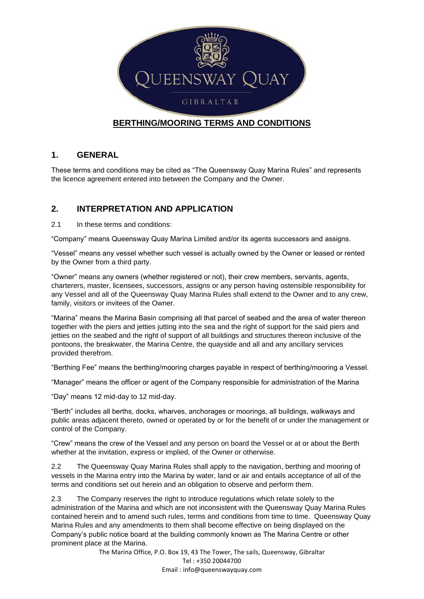

### **BERTHING/MOORING TERMS AND CONDITIONS**

#### **1. GENERAL**

These terms and conditions may be cited as "The Queensway Quay Marina Rules" and represents the licence agreement entered into between the Company and the Owner.

### **2. INTERPRETATION AND APPLICATION**

2.1 In these terms and conditions:

"Company" means Queensway Quay Marina Limited and/or its agents successors and assigns.

"Vessel" means any vessel whether such vessel is actually owned by the Owner or leased or rented by the Owner from a third party.

"Owner" means any owners (whether registered or not), their crew members, servants, agents, charterers, master, licensees, successors, assigns or any person having ostensible responsibility for any Vessel and all of the Queensway Quay Marina Rules shall extend to the Owner and to any crew, family, visitors or invitees of the Owner.

"Marina" means the Marina Basin comprising all that parcel of seabed and the area of water thereon together with the piers and jetties jutting into the sea and the right of support for the said piers and jetties on the seabed and the right of support of all buildings and structures thereon inclusive of the pontoons, the breakwater, the Marina Centre, the quayside and all and any ancillary services provided therefrom.

"Berthing Fee" means the berthing/mooring charges payable in respect of berthing/mooring a Vessel.

"Manager" means the officer or agent of the Company responsible for administration of the Marina

"Day" means 12 mid-day to 12 mid-day.

"Berth" includes all berths, docks, wharves, anchorages or moorings, all buildings, walkways and public areas adjacent thereto, owned or operated by or for the benefit of or under the management or control of the Company.

"Crew" means the crew of the Vessel and any person on board the Vessel or at or about the Berth whether at the invitation, express or implied, of the Owner or otherwise.

2.2 The Queensway Quay Marina Rules shall apply to the navigation, berthing and mooring of vessels in the Marina entry into the Marina by water, land or air and entails acceptance of all of the terms and conditions set out herein and an obligation to observe and perform them.

2.3 The Company reserves the right to introduce regulations which relate solely to the administration of the Marina and which are not inconsistent with the Queensway Quay Marina Rules contained herein and to amend such rules, terms and conditions from time to time. Queensway Quay Marina Rules and any amendments to them shall become effective on being displayed on the Company's public notice board at the building commonly known as The Marina Centre or other prominent place at the Marina.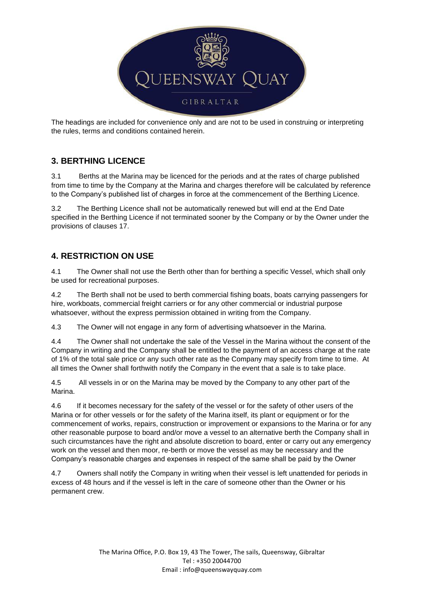

The headings are included for convenience only and are not to be used in construing or interpreting the rules, terms and conditions contained herein.

## **3. BERTHING LICENCE**

3.1 Berths at the Marina may be licenced for the periods and at the rates of charge published from time to time by the Company at the Marina and charges therefore will be calculated by reference to the Company's published list of charges in force at the commencement of the Berthing Licence.

3.2 The Berthing Licence shall not be automatically renewed but will end at the End Date specified in the Berthing Licence if not terminated sooner by the Company or by the Owner under the provisions of clauses 17.

# **4. RESTRICTION ON USE**

4.1 The Owner shall not use the Berth other than for berthing a specific Vessel, which shall only be used for recreational purposes.

4.2 The Berth shall not be used to berth commercial fishing boats, boats carrying passengers for hire, workboats, commercial freight carriers or for any other commercial or industrial purpose whatsoever, without the express permission obtained in writing from the Company*.*

4.3 The Owner will not engage in any form of advertising whatsoever in the Marina.

4.4 The Owner shall not undertake the sale of the Vessel in the Marina without the consent of the Company in writing and the Company shall be entitled to the payment of an access charge at the rate of 1% of the total sale price or any such other rate as the Company may specify from time to time. At all times the Owner shall forthwith notify the Company in the event that a sale is to take place.

4.5 All vessels in or on the Marina may be moved by the Company to any other part of the Marina.

4.6 If it becomes necessary for the safety of the vessel or for the safety of other users of the Marina or for other vessels or for the safety of the Marina itself, its plant or equipment or for the commencement of works, repairs, construction or improvement or expansions to the Marina or for any other reasonable purpose to board and/or move a vessel to an alternative berth the Company shall in such circumstances have the right and absolute discretion to board, enter or carry out any emergency work on the vessel and then moor, re-berth or move the vessel as may be necessary and the Company's reasonable charges and expenses in respect of the same shall be paid by the Owner

4.7 Owners shall notify the Company in writing when their vessel is left unattended for periods in excess of 48 hours and if the vessel is left in the care of someone other than the Owner or his permanent crew.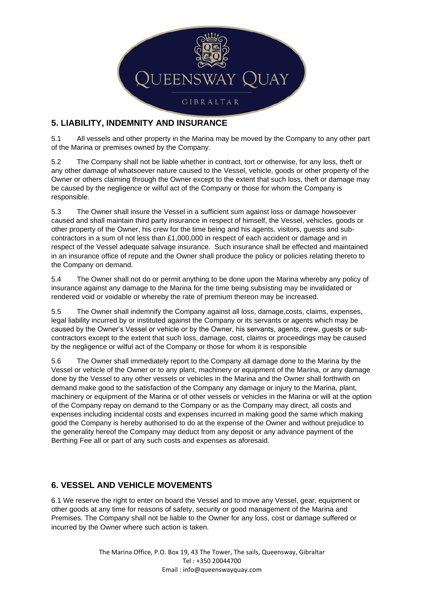

### **5. LIABILITY, INDEMNITY AND INSURANCE**

5.1 All vessels and other property in the Marina may be moved by the Company to any other part of the Marina or premises owned by the Company.

5.2 The Company shall not be liable whether in contract, tort or otherwise, for any loss, theft or any other damage of whatsoever nature caused to the Vessel, vehicle, goods or other property of the Owner or others claiming through the Owner except to the extent that such loss, theft or damage may be caused by the negligence or wilful act of the Company or those for whom the Company is responsible.

5.3 The Owner shall insure the Vessel in a sufficient sum against loss or damage howsoever caused and shall maintain third party insurance in respect of himself, the Vessel, vehicles, goods or other property of the Owner, his crew for the time being and his agents, visitors, guests and subcontractors in a sum of not less than £1,000,000 in respect of each accident or damage and in respect of the Vessel adequate salvage insurance. Such insurance shall be effected and maintained in an insurance office of repute and the Owner shall produce the policy or policies relating thereto to the Company on demand.

5.4 The Owner shall not do or permit anything to be done upon the Marina whereby any policy of insurance against any damage to the Marina for the time being subsisting may be invalidated or rendered void or voidable or whereby the rate of premium thereon may be increased.

5.5 The Owner shall indemnify the Company against all loss, damage,costs, claims, expenses, legal liability incurred by or instituted against the Company or its servants or agents which may be caused by the Owner's Vessel or vehicle or by the Owner, his servants, agents, crew, guests or subcontractors except to the extent that such loss, damage, cost, claims or proceedings may be caused by the negligence or wilful act of the Company or those for whom it is responsible

5.6 The Owner shall immediately report to the Company all damage done to the Marina by the Vessel or vehicle of the Owner or to any plant, machinery or equipment of the Marina, or any damage done by the Vessel to any other vessels or vehicles in the Marina and the Owner shall forthwith on demand make good to the satisfaction of the Company any damage or injury to the Marina, plant, machinery or equipment of the Marina or of other vessels or vehicles in the Marina or will at the option of the Company repay on demand to the Company or as the Company may direct, all costs and expenses including incidental costs and expenses incurred in making good the same which making good the Company is hereby authorised to do at the expense of the Owner and without prejudice to the generality hereof the Company may deduct from any deposit or any advance payment of the Berthing Fee all or part of any such costs and expenses as aforesaid.

## **6. VESSEL AND VEHICLE MOVEMENTS**

6.1 We reserve the right to enter on board the Vessel and to move any Vessel, gear, equipment or other goods at any time for reasons of safety, security or good management of the Marina and Premises. The Company shall not be liable to the Owner for any loss, cost or damage suffered or incurred by the Owner where such action is taken.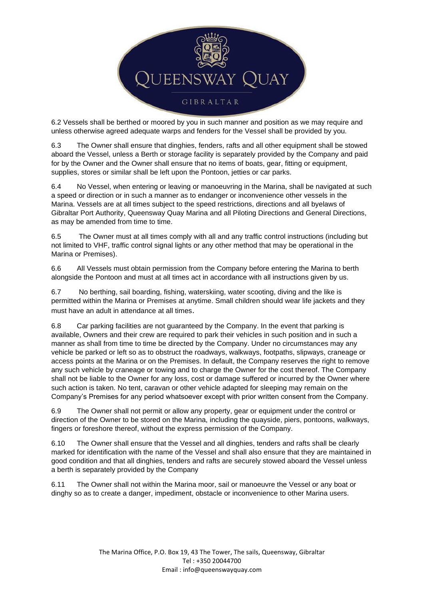

6.2 Vessels shall be berthed or moored by you in such manner and position as we may require and unless otherwise agreed adequate warps and fenders for the Vessel shall be provided by you.

6.3 The Owner shall ensure that dinghies, fenders, rafts and all other equipment shall be stowed aboard the Vessel, unless a Berth or storage facility is separately provided by the Company and paid for by the Owner and the Owner shall ensure that no items of boats, gear, fitting or equipment, supplies, stores or similar shall be left upon the Pontoon, jetties or car parks.

6.4 No Vessel, when entering or leaving or manoeuvring in the Marina, shall be navigated at such a speed or direction or in such a manner as to endanger or inconvenience other vessels in the Marina. Vessels are at all times subject to the speed restrictions, directions and all byelaws of Gibraltar Port Authority, Queensway Quay Marina and all Piloting Directions and General Directions, as may be amended from time to time.

6.5 The Owner must at all times comply with all and any traffic control instructions (including but not limited to VHF, traffic control signal lights or any other method that may be operational in the Marina or Premises).

6.6 All Vessels must obtain permission from the Company before entering the Marina to berth alongside the Pontoon and must at all times act in accordance with all instructions given by us.

6.7 No berthing, sail boarding, fishing, waterskiing, water scooting, diving and the like is permitted within the Marina or Premises at anytime. Small children should wear life jackets and they must have an adult in attendance at all times.

6.8 Car parking facilities are not guaranteed by the Company. In the event that parking is available, Owners and their crew are required to park their vehicles in such position and in such a manner as shall from time to time be directed by the Company. Under no circumstances may any vehicle be parked or left so as to obstruct the roadways, walkways, footpaths, slipways, craneage or access points at the Marina or on the Premises. In default, the Company reserves the right to remove any such vehicle by craneage or towing and to charge the Owner for the cost thereof. The Company shall not be liable to the Owner for any loss, cost or damage suffered or incurred by the Owner where such action is taken. No tent, caravan or other vehicle adapted for sleeping may remain on the Company's Premises for any period whatsoever except with prior written consent from the Company.

6.9 The Owner shall not permit or allow any property, gear or equipment under the control or direction of the Owner to be stored on the Marina, including the quayside, piers, pontoons, walkways, fingers or foreshore thereof, without the express permission of the Company.

6.10 The Owner shall ensure that the Vessel and all dinghies, tenders and rafts shall be clearly marked for identification with the name of the Vessel and shall also ensure that they are maintained in good condition and that all dinghies, tenders and rafts are securely stowed aboard the Vessel unless a berth is separately provided by the Company

6.11 The Owner shall not within the Marina moor, sail or manoeuvre the Vessel or any boat or dinghy so as to create a danger, impediment, obstacle or inconvenience to other Marina users.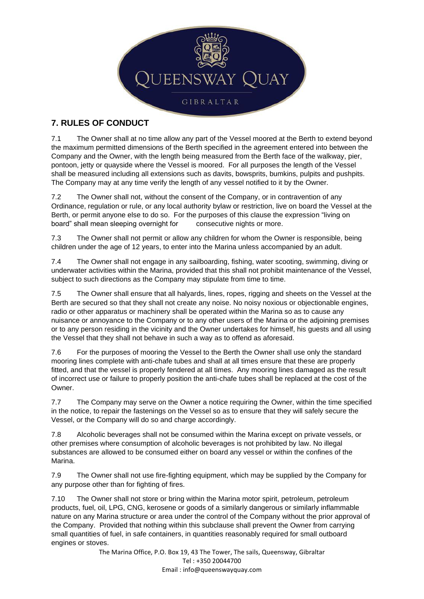

# **7. RULES OF CONDUCT**

7.1 The Owner shall at no time allow any part of the Vessel moored at the Berth to extend beyond the maximum permitted dimensions of the Berth specified in the agreement entered into between the Company and the Owner, with the length being measured from the Berth face of the walkway, pier, pontoon, jetty or quayside where the Vessel is moored. For all purposes the length of the Vessel shall be measured including all extensions such as davits, bowsprits, bumkins, pulpits and pushpits. The Company may at any time verify the length of any vessel notified to it by the Owner.

7.2 The Owner shall not, without the consent of the Company, or in contravention of any Ordinance, regulation or rule, or any local authority bylaw or restriction, live on board the Vessel at the Berth, or permit anyone else to do so. For the purposes of this clause the expression "living on board" shall mean sleeping overnight for consecutive nights or more.

7.3 The Owner shall not permit or allow any children for whom the Owner is responsible, being children under the age of 12 years, to enter into the Marina unless accompanied by an adult.

7.4 The Owner shall not engage in any sailboarding, fishing, water scooting, swimming, diving or underwater activities within the Marina, provided that this shall not prohibit maintenance of the Vessel, subject to such directions as the Company may stipulate from time to time.

7.5 The Owner shall ensure that all halyards, lines, ropes, rigging and sheets on the Vessel at the Berth are secured so that they shall not create any noise. No noisy noxious or objectionable engines, radio or other apparatus or machinery shall be operated within the Marina so as to cause any nuisance or annoyance to the Company or to any other users of the Marina or the adjoining premises or to any person residing in the vicinity and the Owner undertakes for himself, his guests and all using the Vessel that they shall not behave in such a way as to offend as aforesaid*.*

7.6 For the purposes of mooring the Vessel to the Berth the Owner shall use only the standard mooring lines complete with anti-chafe tubes and shall at all times ensure that these are properly fitted, and that the vessel is properly fendered at all times. Any mooring lines damaged as the result of incorrect use or failure to properly position the anti-chafe tubes shall be replaced at the cost of the Owner.

7.7 The Company may serve on the Owner a notice requiring the Owner, within the time specified in the notice, to repair the fastenings on the Vessel so as to ensure that they will safely secure the Vessel, or the Company will do so and charge accordingly.

7.8 Alcoholic beverages shall not be consumed within the Marina except on private vessels, or other premises where consumption of alcoholic beverages is not prohibited by law. No illegal substances are allowed to be consumed either on board any vessel or within the confines of the Marina.

7.9 The Owner shall not use fire-fighting equipment, which may be supplied by the Company for any purpose other than for fighting of fires.

7.10 The Owner shall not store or bring within the Marina motor spirit, petroleum, petroleum products, fuel, oil, LPG, CNG, kerosene or goods of a similarly dangerous or similarly inflammable nature on any Marina structure or area under the control of the Company without the prior approval of the Company. Provided that nothing within this subclause shall prevent the Owner from carrying small quantities of fuel, in safe containers, in quantities reasonably required for small outboard engines or stoves.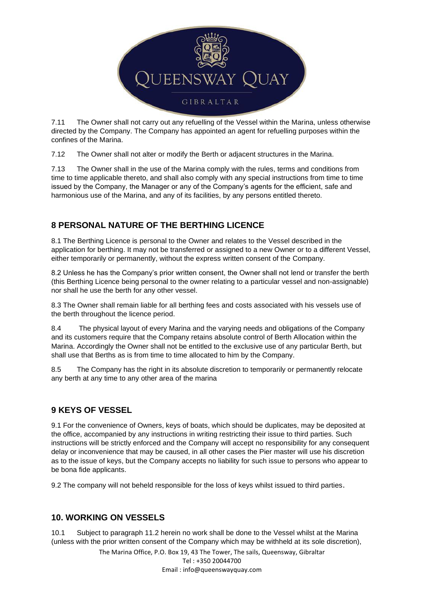

7.11 The Owner shall not carry out any refuelling of the Vessel within the Marina, unless otherwise directed by the Company. The Company has appointed an agent for refuelling purposes within the confines of the Marina.

7.12 The Owner shall not alter or modify the Berth or adjacent structures in the Marina.

7.13 The Owner shall in the use of the Marina comply with the rules, terms and conditions from time to time applicable thereto, and shall also comply with any special instructions from time to time issued by the Company, the Manager or any of the Company's agents for the efficient, safe and harmonious use of the Marina, and any of its facilities, by any persons entitled thereto.

# **8 PERSONAL NATURE OF THE BERTHING LICENCE**

8.1 The Berthing Licence is personal to the Owner and relates to the Vessel described in the application for berthing. It may not be transferred or assigned to a new Owner or to a different Vessel, either temporarily or permanently, without the express written consent of the Company.

8.2 Unless he has the Company's prior written consent, the Owner shall not lend or transfer the berth (this Berthing Licence being personal to the owner relating to a particular vessel and non-assignable) nor shall he use the berth for any other vessel.

8.3 The Owner shall remain liable for all berthing fees and costs associated with his vessels use of the berth throughout the licence period.

8.4 The physical layout of every Marina and the varying needs and obligations of the Company and its customers require that the Company retains absolute control of Berth Allocation within the Marina. Accordingly the Owner shall not be entitled to the exclusive use of any particular Berth, but shall use that Berths as is from time to time allocated to him by the Company.

8.5 The Company has the right in its absolute discretion to temporarily or permanently relocate any berth at any time to any other area of the marina

## **9 KEYS OF VESSEL**

9.1 For the convenience of Owners, keys of boats, which should be duplicates, may be deposited at the office, accompanied by any instructions in writing restricting their issue to third parties. Such instructions will be strictly enforced and the Company will accept no responsibility for any consequent delay or inconvenience that may be caused, in all other cases the Pier master will use his discretion as to the issue of keys, but the Company accepts no liability for such issue to persons who appear to be bona fide applicants.

9.2 The company will not beheld responsible for the loss of keys whilst issued to third parties.

## **10. WORKING ON VESSELS**

10.1 Subject to paragraph 11.2 herein no work shall be done to the Vessel whilst at the Marina (unless with the prior written consent of the Company which may be withheld at its sole discretion),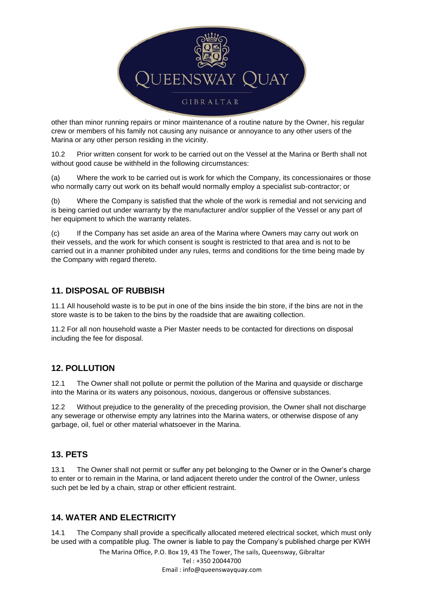

other than minor running repairs or minor maintenance of a routine nature by the Owner, his regular crew or members of his family not causing any nuisance or annoyance to any other users of the Marina or any other person residing in the vicinity.

10.2 Prior written consent for work to be carried out on the Vessel at the Marina or Berth shall not without good cause be withheld in the following circumstances:

(a) Where the work to be carried out is work for which the Company, its concessionaires or those who normally carry out work on its behalf would normally employ a specialist sub-contractor; or

(b) Where the Company is satisfied that the whole of the work is remedial and not servicing and is being carried out under warranty by the manufacturer and/or supplier of the Vessel or any part of her equipment to which the warranty relates.

(c) If the Company has set aside an area of the Marina where Owners may carry out work on their vessels, and the work for which consent is sought is restricted to that area and is not to be carried out in a manner prohibited under any rules, terms and conditions for the time being made by the Company with regard thereto.

### **11. DISPOSAL OF RUBBISH**

11.1 All household waste is to be put in one of the bins inside the bin store, if the bins are not in the store waste is to be taken to the bins by the roadside that are awaiting collection.

11.2 For all non household waste a Pier Master needs to be contacted for directions on disposal including the fee for disposal.

### **12. POLLUTION**

12.1 The Owner shall not pollute or permit the pollution of the Marina and quayside or discharge into the Marina or its waters any poisonous, noxious, dangerous or offensive substances.

12.2 Without prejudice to the generality of the preceding provision, the Owner shall not discharge any sewerage or otherwise empty any latrines into the Marina waters, or otherwise dispose of any garbage, oil, fuel or other material whatsoever in the Marina.

### **13. PETS**

13.1 The Owner shall not permit or suffer any pet belonging to the Owner or in the Owner's charge to enter or to remain in the Marina, or land adjacent thereto under the control of the Owner, unless such pet be led by a chain, strap or other efficient restraint.

### **14. WATER AND ELECTRICITY**

14.1 The Company shall provide a specifically allocated metered electrical socket, which must only be used with a compatible plug. The owner is liable to pay the Company's published charge per KWH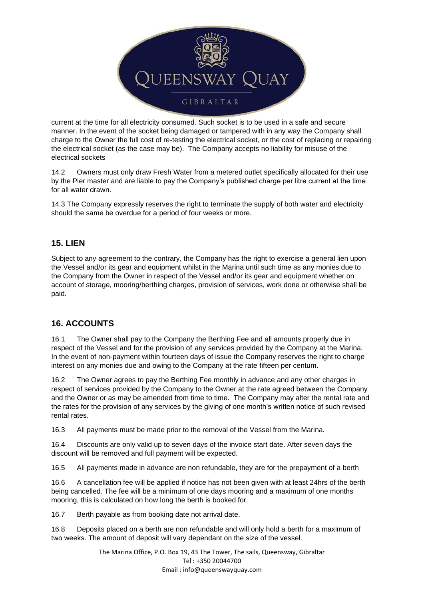

current at the time for all electricity consumed. Such socket is to be used in a safe and secure manner. In the event of the socket being damaged or tampered with in any way the Company shall charge to the Owner the full cost of re-testing the electrical socket, or the cost of replacing or repairing the electrical socket (as the case may be). The Company accepts no liability for misuse of the electrical sockets

14.2 Owners must only draw Fresh Water from a metered outlet specifically allocated for their use by the Pier master and are liable to pay the Company's published charge per litre current at the time for all water drawn.

14.3 The Company expressly reserves the right to terminate the supply of both water and electricity should the same be overdue for a period of four weeks or more.

### **15. LIEN**

Subject to any agreement to the contrary, the Company has the right to exercise a general lien upon the Vessel and/or its gear and equipment whilst in the Marina until such time as any monies due to the Company from the Owner in respect of the Vessel and/or its gear and equipment whether on account of storage, mooring/berthing charges, provision of services, work done or otherwise shall be paid.

### **16. ACCOUNTS**

16.1 The Owner shall pay to the Company the Berthing Fee and all amounts properly due in respect of the Vessel and for the provision of any services provided by the Company at the Marina. In the event of non-payment within fourteen days of issue the Company reserves the right to charge interest on any monies due and owing to the Company at the rate fifteen per centum.

16.2 The Owner agrees to pay the Berthing Fee monthly in advance and any other charges in respect of services provided by the Company to the Owner at the rate agreed between the Company and the Owner or as may be amended from time to time. The Company may alter the rental rate and the rates for the provision of any services by the giving of one month's written notice of such revised rental rates.

16.3 All payments must be made prior to the removal of the Vessel from the Marina.

16.4 Discounts are only valid up to seven days of the invoice start date. After seven days the discount will be removed and full payment will be expected.

16.5 All payments made in advance are non refundable, they are for the prepayment of a berth

16.6 A cancellation fee will be applied if notice has not been given with at least 24hrs of the berth being cancelled. The fee will be a minimum of one days mooring and a maximum of one months mooring, this is calculated on how long the berth is booked for.

16.7 Berth payable as from booking date not arrival date.

16.8 Deposits placed on a berth are non refundable and will only hold a berth for a maximum of two weeks. The amount of deposit will vary dependant on the size of the vessel.